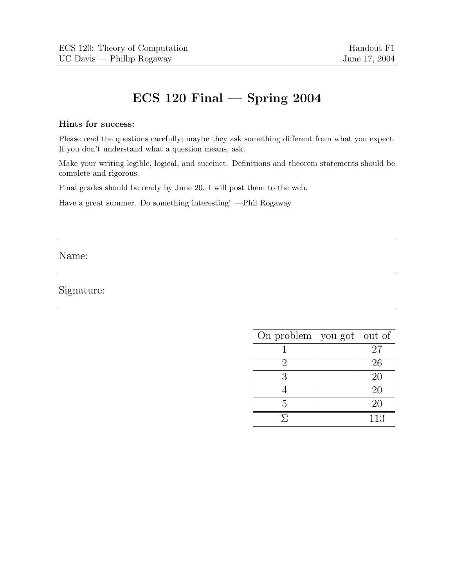# **ECS 120 Final — Spring 2004**

### **Hints for success:**

Please read the questions carefully; maybe they ask something different from what you expect. If you don't understand what a question means, ask.

Make your writing legible, logical, and succinct. Definitions and theorem statements should be complete and rigorous.

Final grades should be ready by June 20. I will post them to the web.

Have a great summer. Do something interesting! —Phil Rogaway

Name:

Signature:

| On problem $\vert$ you got | out of |
|----------------------------|--------|
|                            | 27     |
| $\cdot$                    | 26     |
| 3                          | 20     |
|                            | 20     |
| 5                          | 20     |
|                            | 113    |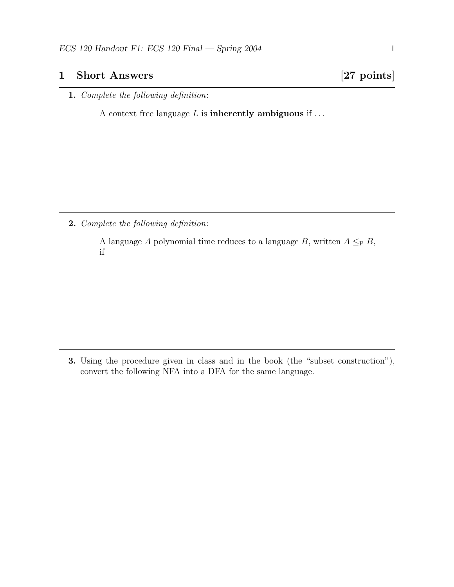### **1 Short Answers [27 points]**

**1.** *Complete the following definition*:

A context free language L is **inherently ambiguous** if ...

**2.** *Complete the following definition*:

A language A polynomial time reduces to a language B, written  $A \leq_{P} B$ , if

**3.** Using the procedure given in class and in the book (the "subset construction"), convert the following NFA into a DFA for the same language.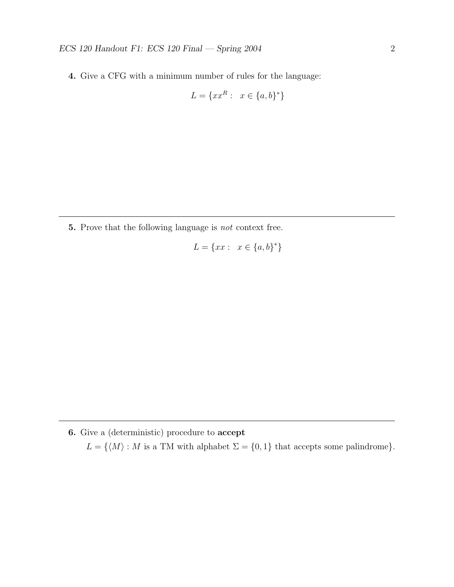**4.** Give a CFG with a minimum number of rules for the language:

$$
L = \{xx^R : x \in \{a, b\}^*\}
$$

**5.** Prove that the following language is *not* context free.

$$
L = \{xx : x \in \{a, b\}^*\}
$$

**6.** Give a (deterministic) procedure to **accept**

 $L = \{\langle M \rangle : M \text{ is a TM with alphabet } \Sigma = \{0,1\} \text{ that accepts some palindrome}\}.$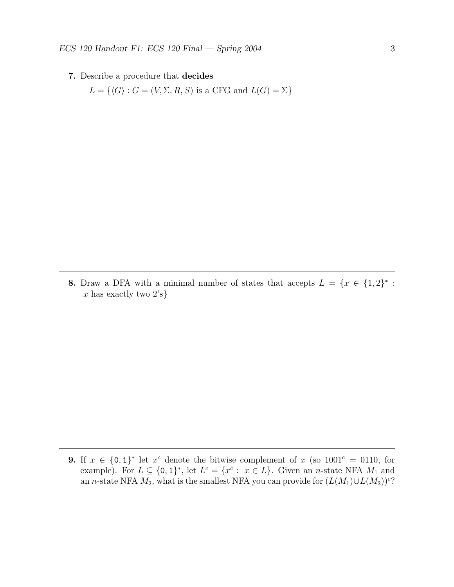**7.** Describe a procedure that **decides**

 $L = \{ \langle G \rangle : G = (V, \Sigma, R, S) \text{ is a CFG and } L(G) = \Sigma \}$ 

**8.** Draw a DFA with a minimal number of states that accepts  $L = \{x \in \{1,2\}^* :$  $x$  has exactly two  $2's$ }

**9.** If  $x \in \{0, 1\}^*$  let  $x^c$  denote the bitwise complement of  $x$  (so  $1001^c = 0110$ , for example). For  $L \subseteq \{0,1\}^*$ , let  $L^c = \{x^c : x \in L\}$ . Given an *n*-state NFA  $M_1$  and an n-state NFA  $M_2$ , what is the smallest NFA you can provide for  $(L(M_1) \cup L(M_2))^c$ ?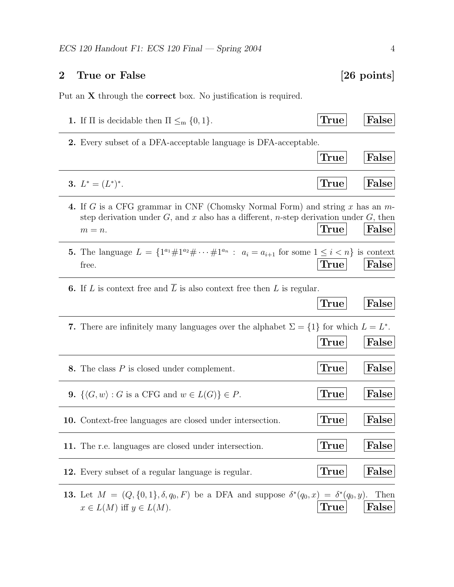# **2 True or False [26 points]**

Put an **X** through the **correct** box. No justification is required.

| <b>1.</b> If $\Pi$ is decidable then $\Pi \leq_m \{0, 1\}$ .                                                                                                                               | True          | False         |
|--------------------------------------------------------------------------------------------------------------------------------------------------------------------------------------------|---------------|---------------|
| <b>2.</b> Every subset of a DFA-acceptable language is DFA-acceptable.                                                                                                                     |               |               |
|                                                                                                                                                                                            | True          | False         |
| 3. $L^* = (L^*)^*$ .                                                                                                                                                                       | True          | False         |
| 4. If G is a CFG grammar in CNF (Chomsky Normal Form) and string x has an $m$ -<br>step derivation under $G$ , and x also has a different, n-step derivation under $G$ , then<br>$m = n$ . | True          | False         |
| <b>5.</b> The language $L = \{1^{a_1} \# 1^{a_2} \# \cdots \# 1^{a_n} : a_i = a_{i+1} \text{ for some } 1 \leq i < n\} \text{ is context}$<br>free.                                        | $\text{True}$ | False         |
| <b>6.</b> If L is context free and $\overline{L}$ is also context free then L is regular.                                                                                                  | True          | False         |
| 7. There are infinitely many languages over the alphabet $\Sigma = \{1\}$ for which $L = L^*$ .                                                                                            | True          | False         |
| 8. The class $P$ is closed under complement.                                                                                                                                               | True          | False         |
| 9. $\{\langle G, w \rangle : G \text{ is a CFG and } w \in L(G)\} \in P$ .                                                                                                                 | True          | False         |
| <b>10.</b> Context-free languages are closed under intersection.                                                                                                                           | True          | False         |
| 11. The r.e. languages are closed under intersection.                                                                                                                                      | True          | False         |
| 12. Every subset of a regular language is regular.                                                                                                                                         | True          | False         |
| <b>13.</b> Let $M = (Q, \{0, 1\}, \delta, q_0, F)$ be a DFA and suppose $\delta^*(q_0, x) = \delta^*(q_0, y)$ .<br>$x \in L(M)$ iff $y \in L(M)$ .                                         | True          | Then<br>False |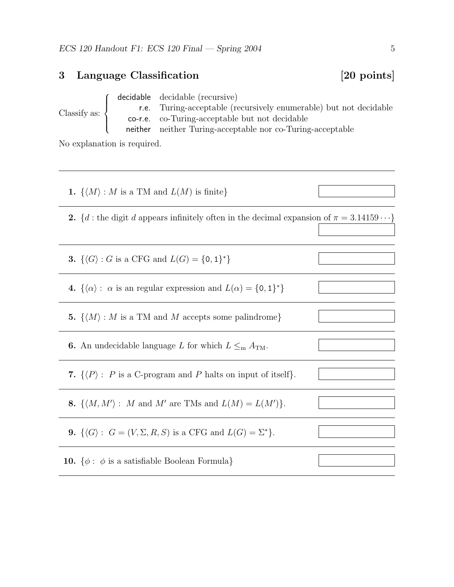### **3 Language Classification [20 points]** Classify as:  $\sqrt{ }$  $\int$  $\overline{\mathcal{N}}$ decidable decidable (recursive) r.e. Turing-acceptable (recursively enumerable) but not decidable co-r.e. co-Turing-acceptable but not decidable neither neither Turing-acceptable nor co-Turing-acceptable

No explanation is required.

| 1. $\{\langle M \rangle : M$ is a TM and $L(M)$ is finite}                                               |  |  |
|----------------------------------------------------------------------------------------------------------|--|--|
| <b>2.</b> {d : the digit d appears infinitely often in the decimal expansion of $\pi = 3.14159 \cdots$ } |  |  |
|                                                                                                          |  |  |
| <b>3.</b> $\{\langle G \rangle : G \text{ is a CFG and } L(G) = \{0,1\}^*\}\$                            |  |  |
| 4. $\{\langle \alpha \rangle : \alpha \text{ is an regular expression and } L(\alpha) = \{0,1\}^*\}\$    |  |  |
| <b>5.</b> $\{\langle M \rangle : M \text{ is a TM and } M \text{ accepts some palindrome}\}\$            |  |  |
| <b>6.</b> An undecidable language L for which $L \leq_{\text{m}} A_{\text{TM}}$ .                        |  |  |
| 7. $\{\langle P \rangle : P$ is a C-program and P halts on input of itself}.                             |  |  |
| 8. $\{\langle M, M'\rangle : M \text{ and } M' \text{ are TMs and } L(M) = L(M')\}.$                     |  |  |
| <b>9.</b> $\{\langle G \rangle : G = (V, \Sigma, R, S) \text{ is a CFG and } L(G) = \Sigma^*\}.$         |  |  |
| <b>10.</b> $\{\phi : \phi \text{ is a satisfiable Boolean Formula}\}\$                                   |  |  |
|                                                                                                          |  |  |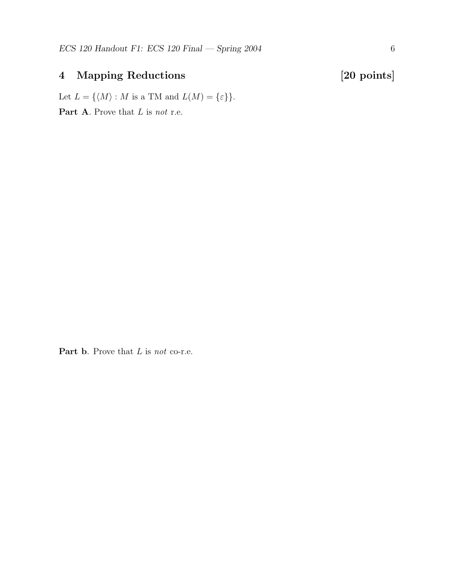## **4 Mapping Reductions [20 points]**

Let  $L = \{\langle M \rangle : M \text{ is a TM and } L(M) = \{\varepsilon\}\}.$ 

**Part A**. Prove that L is *not* r.e.

**Part b**. Prove that L is *not* co-r.e.